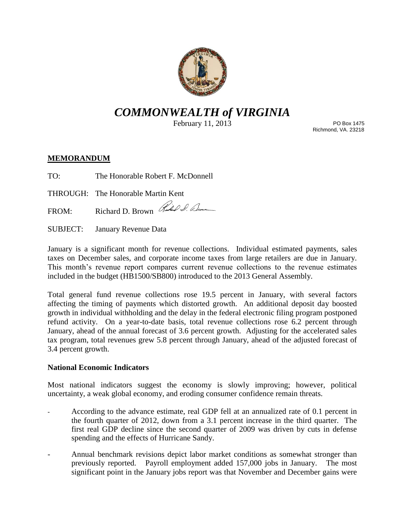

# *COMMONWEALTH of VIRGINIA*

February 11, 2013

PO Box 1475 Richmond, VA. 23218

## **MEMORANDUM**

TO: The Honorable Robert F. McDonnell

THROUGH: The Honorable Martin Kent

FROM: Richard D. Brown Rubel S. Denne

SUBJECT: January Revenue Data

January is a significant month for revenue collections. Individual estimated payments, sales taxes on December sales, and corporate income taxes from large retailers are due in January. This month's revenue report compares current revenue collections to the revenue estimates included in the budget (HB1500/SB800) introduced to the 2013 General Assembly.

Total general fund revenue collections rose 19.5 percent in January, with several factors affecting the timing of payments which distorted growth. An additional deposit day boosted growth in individual withholding and the delay in the federal electronic filing program postponed refund activity. On a year-to-date basis, total revenue collections rose 6.2 percent through January, ahead of the annual forecast of 3.6 percent growth. Adjusting for the accelerated sales tax program, total revenues grew 5.8 percent through January, ahead of the adjusted forecast of 3.4 percent growth.

#### **National Economic Indicators**

Most national indicators suggest the economy is slowly improving; however, political uncertainty, a weak global economy, and eroding consumer confidence remain threats.

- According to the advance estimate, real GDP fell at an annualized rate of 0.1 percent in the fourth quarter of 2012, down from a 3.1 percent increase in the third quarter. The first real GDP decline since the second quarter of 2009 was driven by cuts in defense spending and the effects of Hurricane Sandy.
- Annual benchmark revisions depict labor market conditions as somewhat stronger than previously reported. Payroll employment added 157,000 jobs in January. The most significant point in the January jobs report was that November and December gains were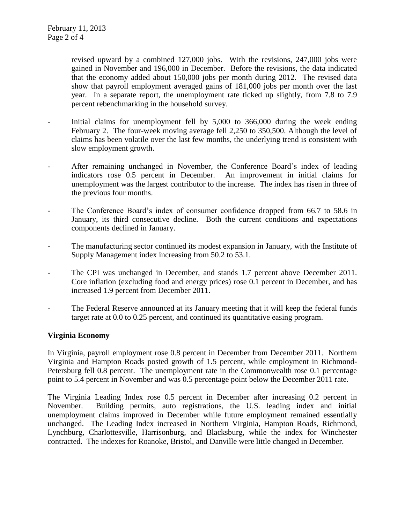revised upward by a combined 127,000 jobs. With the revisions, 247,000 jobs were gained in November and 196,000 in December. Before the revisions, the data indicated that the economy added about 150,000 jobs per month during 2012. The revised data show that payroll employment averaged gains of 181,000 jobs per month over the last year. In a separate report, the unemployment rate ticked up slightly, from 7.8 to 7.9 percent rebenchmarking in the household survey.

- Initial claims for unemployment fell by  $5,000$  to  $366,000$  during the week ending February 2. The four-week moving average fell 2,250 to 350,500. Although the level of claims has been volatile over the last few months, the underlying trend is consistent with slow employment growth.
- After remaining unchanged in November, the Conference Board's index of leading indicators rose 0.5 percent in December. An improvement in initial claims for unemployment was the largest contributor to the increase. The index has risen in three of the previous four months.
- The Conference Board's index of consumer confidence dropped from 66.7 to 58.6 in January, its third consecutive decline. Both the current conditions and expectations components declined in January.
- The manufacturing sector continued its modest expansion in January, with the Institute of Supply Management index increasing from 50.2 to 53.1.
- The CPI was unchanged in December, and stands 1.7 percent above December 2011. Core inflation (excluding food and energy prices) rose 0.1 percent in December, and has increased 1.9 percent from December 2011.
- The Federal Reserve announced at its January meeting that it will keep the federal funds target rate at 0.0 to 0.25 percent, and continued its quantitative easing program.

#### **Virginia Economy**

In Virginia, payroll employment rose 0.8 percent in December from December 2011. Northern Virginia and Hampton Roads posted growth of 1.5 percent, while employment in Richmond-Petersburg fell 0.8 percent. The unemployment rate in the Commonwealth rose 0.1 percentage point to 5.4 percent in November and was 0.5 percentage point below the December 2011 rate.

The Virginia Leading Index rose 0.5 percent in December after increasing 0.2 percent in November. Building permits, auto registrations, the U.S. leading index and initial unemployment claims improved in December while future employment remained essentially unchanged. The Leading Index increased in Northern Virginia, Hampton Roads, Richmond, Lynchburg, Charlottesville, Harrisonburg, and Blacksburg, while the index for Winchester contracted. The indexes for Roanoke, Bristol, and Danville were little changed in December.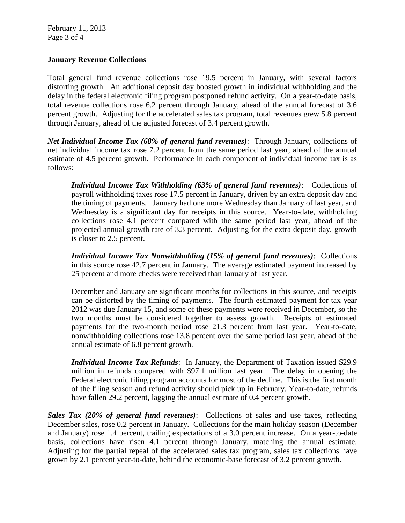February 11, 2013 Page 3 of 4

### **January Revenue Collections**

Total general fund revenue collections rose 19.5 percent in January, with several factors distorting growth. An additional deposit day boosted growth in individual withholding and the delay in the federal electronic filing program postponed refund activity. On a year-to-date basis, total revenue collections rose 6.2 percent through January, ahead of the annual forecast of 3.6 percent growth. Adjusting for the accelerated sales tax program, total revenues grew 5.8 percent through January, ahead of the adjusted forecast of 3.4 percent growth.

*Net Individual Income Tax (68% of general fund revenues)*: Through January, collections of net individual income tax rose 7.2 percent from the same period last year, ahead of the annual estimate of 4.5 percent growth. Performance in each component of individual income tax is as follows:

*Individual Income Tax Withholding (63% of general fund revenues)*: Collections of payroll withholding taxes rose 17.5 percent in January, driven by an extra deposit day and the timing of payments. January had one more Wednesday than January of last year, and Wednesday is a significant day for receipts in this source. Year-to-date, withholding collections rose 4.1 percent compared with the same period last year, ahead of the projected annual growth rate of 3.3 percent. Adjusting for the extra deposit day, growth is closer to 2.5 percent.

*Individual Income Tax Nonwithholding (15% of general fund revenues)*: Collections in this source rose 42.7 percent in January. The average estimated payment increased by 25 percent and more checks were received than January of last year.

December and January are significant months for collections in this source, and receipts can be distorted by the timing of payments. The fourth estimated payment for tax year 2012 was due January 15, and some of these payments were received in December, so the two months must be considered together to assess growth. Receipts of estimated payments for the two-month period rose 21.3 percent from last year. Year-to-date, nonwithholding collections rose 13.8 percent over the same period last year, ahead of the annual estimate of 6.8 percent growth.

*Individual Income Tax Refunds*: In January, the Department of Taxation issued \$29.9 million in refunds compared with \$97.1 million last year. The delay in opening the Federal electronic filing program accounts for most of the decline. This is the first month of the filing season and refund activity should pick up in February. Year-to-date, refunds have fallen 29.2 percent, lagging the annual estimate of 0.4 percent growth.

*Sales Tax (20% of general fund revenues)*: Collections of sales and use taxes, reflecting December sales, rose 0.2 percent in January. Collections for the main holiday season (December and January) rose 1.4 percent, trailing expectations of a 3.0 percent increase. On a year-to-date basis, collections have risen 4.1 percent through January, matching the annual estimate. Adjusting for the partial repeal of the accelerated sales tax program, sales tax collections have grown by 2.1 percent year-to-date, behind the economic-base forecast of 3.2 percent growth.